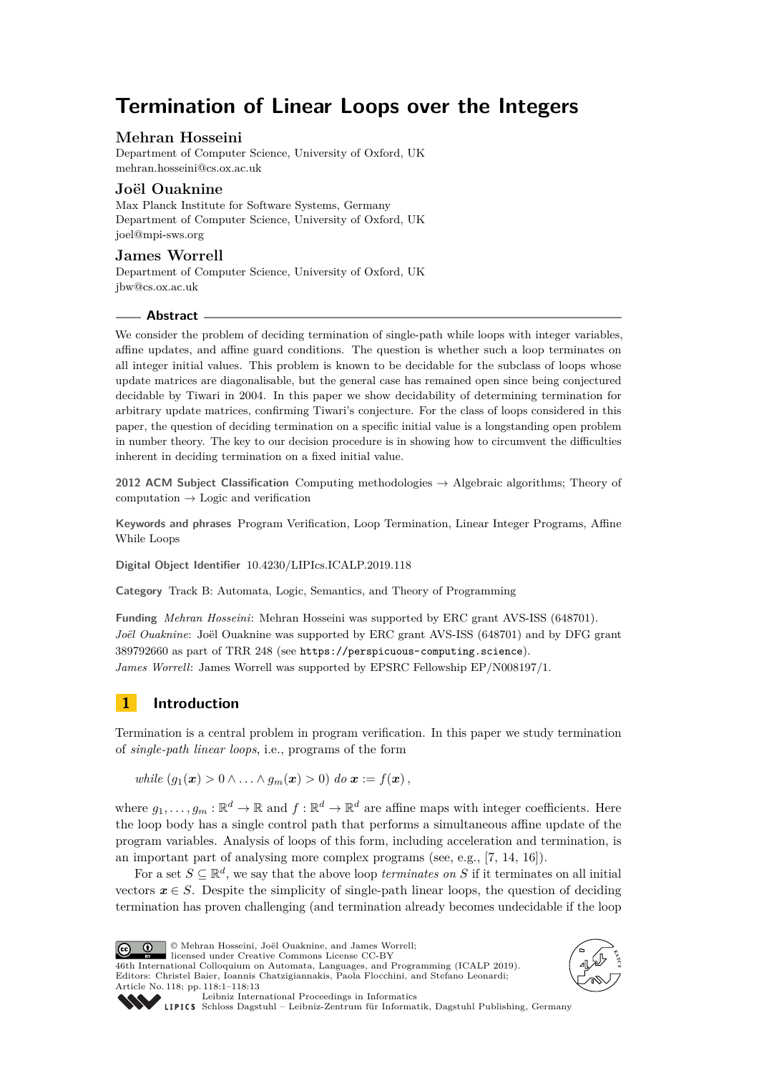# **Termination of Linear Loops over the Integers**

## **Mehran Hosseini**

Department of Computer Science, University of Oxford, UK [mehran.hosseini@cs.ox.ac.uk](mailto:mehran.hosseini@cs.ox.ac.uk)

## **Joël Ouaknine**

Max Planck Institute for Software Systems, Germany Department of Computer Science, University of Oxford, UK [joel@mpi-sws.org](mailto:joel@mpi-sws.org)

## **James Worrell**

Department of Computer Science, University of Oxford, UK [jbw@cs.ox.ac.uk](mailto:jbw@cs.ox.ac.uk)

#### **Abstract**

We consider the problem of deciding termination of single-path while loops with integer variables, affine updates, and affine guard conditions. The question is whether such a loop terminates on all integer initial values. This problem is known to be decidable for the subclass of loops whose update matrices are diagonalisable, but the general case has remained open since being conjectured decidable by Tiwari in 2004. In this paper we show decidability of determining termination for arbitrary update matrices, confirming Tiwari's conjecture. For the class of loops considered in this paper, the question of deciding termination on a specific initial value is a longstanding open problem in number theory. The key to our decision procedure is in showing how to circumvent the difficulties inherent in deciding termination on a fixed initial value.

**2012 ACM Subject Classification** Computing methodologies → Algebraic algorithms; Theory of computation  $\rightarrow$  Logic and verification

**Keywords and phrases** Program Verification, Loop Termination, Linear Integer Programs, Affine While Loops

**Digital Object Identifier** [10.4230/LIPIcs.ICALP.2019.118](https://doi.org/10.4230/LIPIcs.ICALP.2019.118)

**Category** Track B: Automata, Logic, Semantics, and Theory of Programming

**Funding** *Mehran Hosseini*: Mehran Hosseini was supported by ERC grant AVS-ISS (648701). *Joël Ouaknine*: Joël Ouaknine was supported by ERC grant AVS-ISS (648701) and by DFG grant 389792660 as part of TRR 248 (see <https://perspicuous-computing.science>). *James Worrell*: James Worrell was supported by EPSRC Fellowship EP/N008197/1.

## **1 Introduction**

Termination is a central problem in program verification. In this paper we study termination of *single-path linear loops*, i.e., programs of the form

*while*  $(q_1(\mathbf{x}) > 0 \land ... \land q_m(\mathbf{x}) > 0)$  *do*  $\mathbf{x} := f(\mathbf{x})$ ,

where  $g_1, \ldots, g_m : \mathbb{R}^d \to \mathbb{R}$  and  $f : \mathbb{R}^d \to \mathbb{R}^d$  are affine maps with integer coefficients. Here the loop body has a single control path that performs a simultaneous affine update of the program variables. Analysis of loops of this form, including acceleration and termination, is an important part of analysing more complex programs (see, e.g., [\[7,](#page-11-0) [14,](#page-11-1) [16\]](#page-11-2)).

For a set  $S \subseteq \mathbb{R}^d$ , we say that the above loop *terminates on S* if it terminates on all initial vectors  $x \in S$ . Despite the simplicity of single-path linear loops, the question of deciding termination has proven challenging (and termination already becomes undecidable if the loop



© Mehran Hosseini, Joël Ouaknine, and James Worrell; licensed under Creative Commons License CC-BY

46th International Colloquium on Automata, Languages, and Programming (ICALP 2019). Editors: Christel Baier, Ioannis Chatzigiannakis, Paola Flocchini, and Stefano Leonardi; Article No. 118; pp. 118:1–118[:13](#page-12-0)





[Leibniz International Proceedings in Informatics](https://www.dagstuhl.de/lipics/)

[Schloss Dagstuhl – Leibniz-Zentrum für Informatik, Dagstuhl Publishing, Germany](https://www.dagstuhl.de)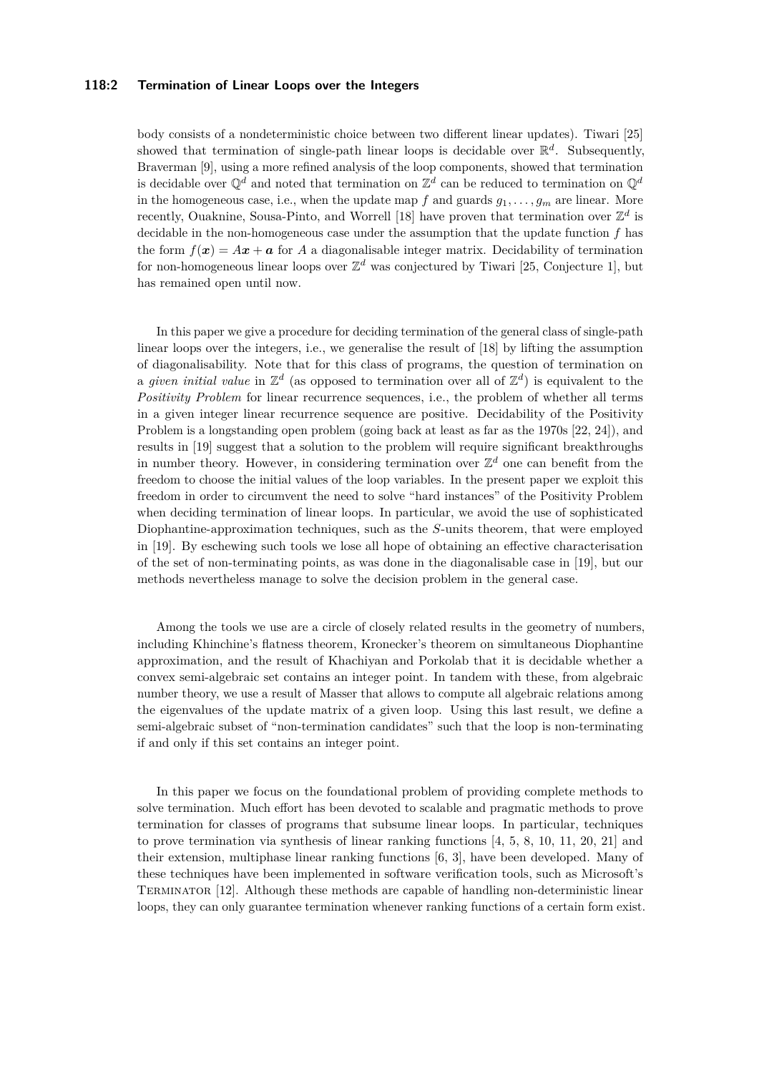#### **118:2 Termination of Linear Loops over the Integers**

body consists of a nondeterministic choice between two different linear updates). Tiwari [\[25\]](#page-12-1) showed that termination of single-path linear loops is decidable over  $\mathbb{R}^d$ . Subsequently, Braverman [\[9\]](#page-11-3), using a more refined analysis of the loop components, showed that termination is decidable over  $\mathbb{Q}^d$  and noted that termination on  $\mathbb{Z}^d$  can be reduced to termination on  $\mathbb{Q}^d$ in the homogeneous case, i.e., when the update map  $f$  and guards  $g_1, \ldots, g_m$  are linear. More recently, Ouaknine, Sousa-Pinto, and Worrell [\[18\]](#page-11-4) have proven that termination over  $\mathbb{Z}^d$  is decidable in the non-homogeneous case under the assumption that the update function *f* has the form  $f(x) = Ax + a$  for *A* a diagonalisable integer matrix. Decidability of termination for non-homogeneous linear loops over  $\mathbb{Z}^d$  was conjectured by Tiwari [\[25,](#page-12-1) Conjecture 1], but has remained open until now.

In this paper we give a procedure for deciding termination of the general class of single-path linear loops over the integers, i.e., we generalise the result of [\[18\]](#page-11-4) by lifting the assumption of diagonalisability. Note that for this class of programs, the question of termination on a *given initial value* in  $\mathbb{Z}^d$  (as opposed to termination over all of  $\mathbb{Z}^d$ ) is equivalent to the *Positivity Problem* for linear recurrence sequences, i.e., the problem of whether all terms in a given integer linear recurrence sequence are positive. Decidability of the Positivity Problem is a longstanding open problem (going back at least as far as the 1970s [\[22,](#page-12-2) [24\]](#page-12-3)), and results in [\[19\]](#page-12-4) suggest that a solution to the problem will require significant breakthroughs in number theory. However, in considering termination over  $\mathbb{Z}^d$  one can benefit from the freedom to choose the initial values of the loop variables. In the present paper we exploit this freedom in order to circumvent the need to solve "hard instances" of the Positivity Problem when deciding termination of linear loops. In particular, we avoid the use of sophisticated Diophantine-approximation techniques, such as the *S*-units theorem, that were employed in [\[19\]](#page-12-4). By eschewing such tools we lose all hope of obtaining an effective characterisation of the set of non-terminating points, as was done in the diagonalisable case in [\[19\]](#page-12-4), but our methods nevertheless manage to solve the decision problem in the general case.

Among the tools we use are a circle of closely related results in the geometry of numbers, including Khinchine's flatness theorem, Kronecker's theorem on simultaneous Diophantine approximation, and the result of Khachiyan and Porkolab that it is decidable whether a convex semi-algebraic set contains an integer point. In tandem with these, from algebraic number theory, we use a result of Masser that allows to compute all algebraic relations among the eigenvalues of the update matrix of a given loop. Using this last result, we define a semi-algebraic subset of "non-termination candidates" such that the loop is non-terminating if and only if this set contains an integer point.

In this paper we focus on the foundational problem of providing complete methods to solve termination. Much effort has been devoted to scalable and pragmatic methods to prove termination for classes of programs that subsume linear loops. In particular, techniques to prove termination via synthesis of linear ranking functions [\[4,](#page-11-5) [5,](#page-11-6) [8,](#page-11-7) [10,](#page-11-8) [11,](#page-11-9) [20,](#page-12-5) [21\]](#page-12-6) and their extension, multiphase linear ranking functions [\[6,](#page-11-10) [3\]](#page-11-11), have been developed. Many of these techniques have been implemented in software verification tools, such as Microsoft's Terminator [\[12\]](#page-11-12). Although these methods are capable of handling non-deterministic linear loops, they can only guarantee termination whenever ranking functions of a certain form exist.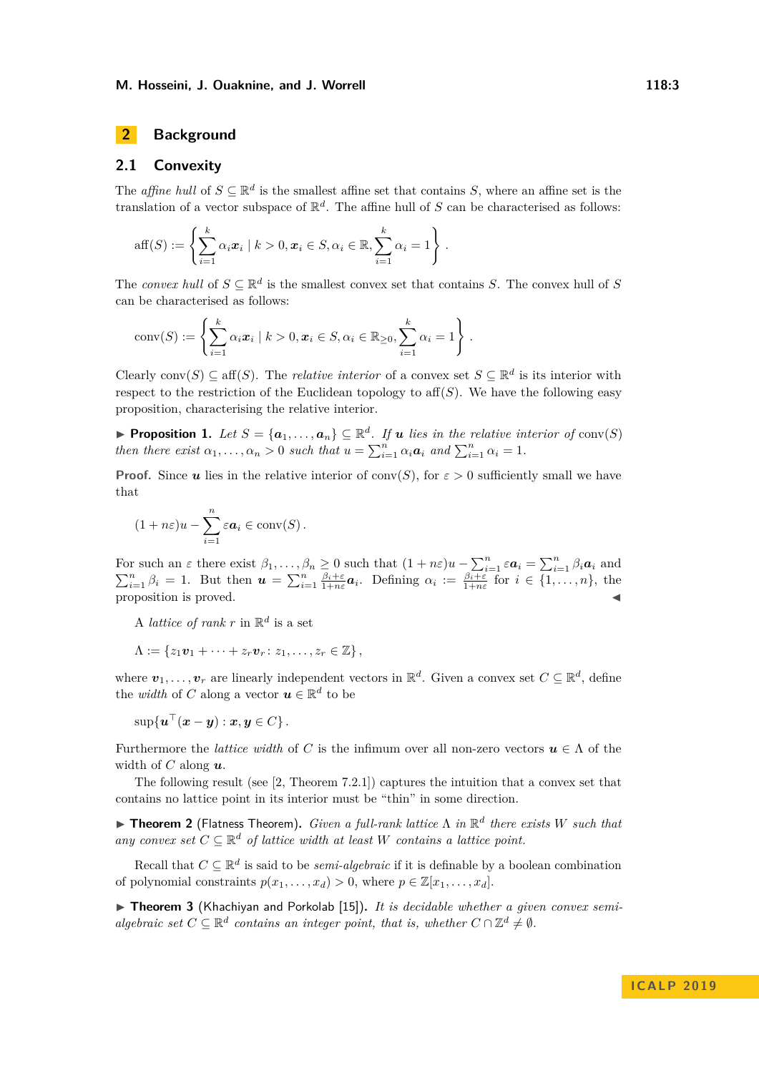## **2 Background**

## **2.1 Convexity**

The *affine hull* of  $S \subseteq \mathbb{R}^d$  is the smallest affine set that contains *S*, where an affine set is the translation of a vector subspace of  $\mathbb{R}^d$ . The affine hull of *S* can be characterised as follows:

aff(S) := 
$$
\left\{ \sum_{i=1}^k \alpha_i \mathbf{x}_i \mid k > 0, \mathbf{x}_i \in S, \alpha_i \in \mathbb{R}, \sum_{i=1}^k \alpha_i = 1 \right\}.
$$

The *convex hull* of  $S \subseteq \mathbb{R}^d$  is the smallest convex set that contains *S*. The convex hull of *S* can be characterised as follows:

$$
conv(S) := \left\{ \sum_{i=1}^k \alpha_i \mathbf{x}_i \mid k > 0, \mathbf{x}_i \in S, \alpha_i \in \mathbb{R}_{\geq 0}, \sum_{i=1}^k \alpha_i = 1 \right\}.
$$

Clearly conv $(S) \subseteq \text{aff}(S)$ . The *relative interior* of a convex set  $S \subseteq \mathbb{R}^d$  is its interior with respect to the restriction of the Euclidean topology to  $\text{aff}(S)$ . We have the following easy proposition, characterising the relative interior.

<span id="page-2-0"></span>**Proposition 1.** Let  $S = \{a_1, \ldots, a_n\} \subseteq \mathbb{R}^d$ . If **u** lies in the relative interior of conv(S) *then there exist*  $\alpha_1, \ldots, \alpha_n > 0$  *such that*  $u = \sum_{i=1}^n \alpha_i \mathbf{a}_i$  *and*  $\sum_{i=1}^n \alpha_i = 1$ *.* 

**Proof.** Since *u* lies in the relative interior of conv(*S*), for  $\varepsilon > 0$  sufficiently small we have that

$$
(1 + n\varepsilon)u - \sum_{i=1}^n \varepsilon a_i \in \text{conv}(S).
$$

For such an  $\varepsilon$  there exist  $\beta_1, \ldots, \beta_n \geq 0$  such that  $(1 + n\varepsilon)u - \sum_{i=1}^n \varepsilon a_i = \sum_{i=1}^n \beta_i a_i$  and  $\sum_{i=1}^n \beta_i = 1$ . But then  $\mathbf{u} = \sum_{i=1}^n \frac{\beta_i + \varepsilon}{1 + n\varepsilon} \mathbf{a}_i$ . Defining  $\alpha_i := \frac{\beta_i + \varepsilon}{1 + n\varepsilon}$  for  $i \in \{1, ..., n\}$ , the proposition is proved.

A *lattice of rank*  $r$  in  $\mathbb{R}^d$  is a set

 $\Lambda := \{z_1v_1 + \cdots + z_rv_r : z_1, \ldots, z_r \in \mathbb{Z}\},$ 

where  $v_1, \ldots, v_r$  are linearly independent vectors in  $\mathbb{R}^d$ . Given a convex set  $C \subseteq \mathbb{R}^d$ , define the *width* of *C* along a vector  $u \in \mathbb{R}^d$  to be

 $\sup\{\boldsymbol{u}^\top(\boldsymbol{x}-\boldsymbol{y}) : \boldsymbol{x}, \boldsymbol{y} \in C\}$  .

Furthermore the *lattice width* of *C* is the infimum over all non-zero vectors  $u \in \Lambda$  of the width of *C* along *u*.

The following result (see [\[2,](#page-11-13) Theorem 7.2.1]) captures the intuition that a convex set that contains no lattice point in its interior must be "thin" in some direction.

<span id="page-2-1"></span>I **Theorem 2** (Flatness Theorem)**.** *Given a full-rank lattice* Λ *in* R *d there exists W such that any convex set*  $C \subseteq \mathbb{R}^d$  *of lattice width at least W contains a lattice point.* 

Recall that  $C \subseteq \mathbb{R}^d$  is said to be *semi-algebraic* if it is definable by a boolean combination of polynomial constraints  $p(x_1, \ldots, x_d) > 0$ , where  $p \in \mathbb{Z}[x_1, \ldots, x_d]$ .

<span id="page-2-2"></span>▶ Theorem 3 (Khachiyan and Porkolab [\[15\]](#page-11-14)). *It is decidable whether a given convex semialgebraic set*  $C \subseteq \mathbb{R}^d$  *contains an integer point, that is, whether*  $C \cap \mathbb{Z}^d \neq \emptyset$ *.*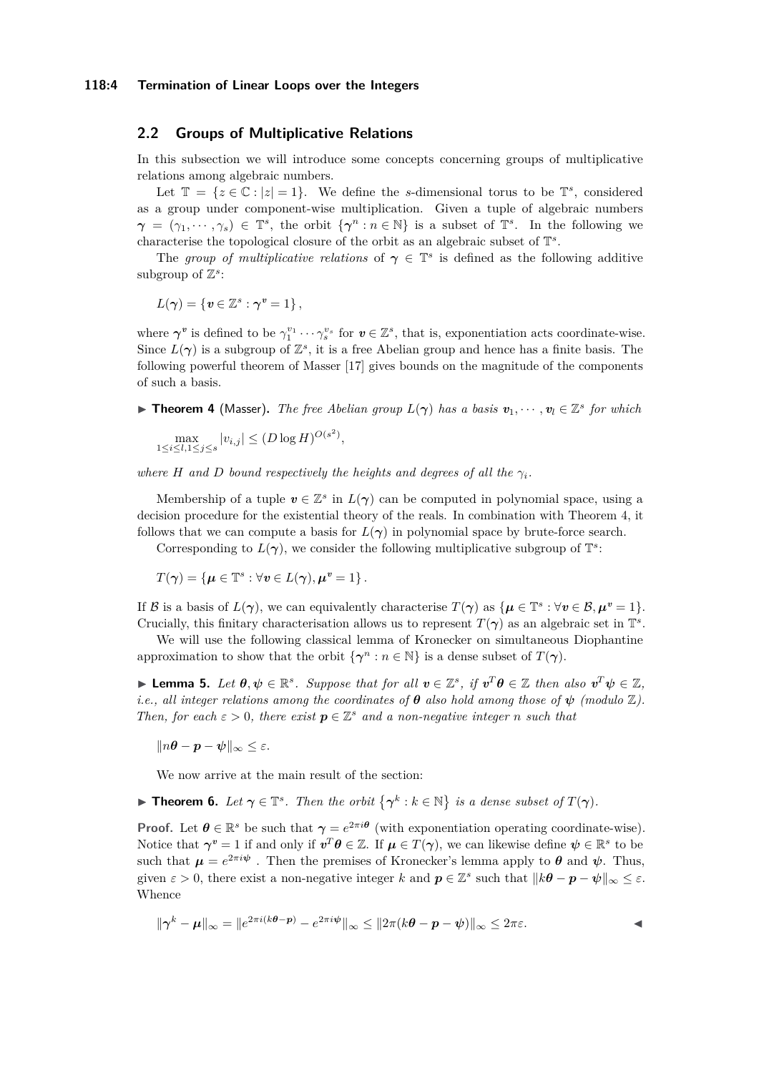#### **118:4 Termination of Linear Loops over the Integers**

### <span id="page-3-1"></span>**2.2 Groups of Multiplicative Relations**

In this subsection we will introduce some concepts concerning groups of multiplicative relations among algebraic numbers.

Let  $\mathbb{T} = \{z \in \mathbb{C} : |z| = 1\}$ . We define the *s*-dimensional torus to be  $\mathbb{T}^s$ , considered as a group under component-wise multiplication. Given a tuple of algebraic numbers  $\gamma = (\gamma_1, \dots, \gamma_s) \in \mathbb{T}^s$ , the orbit  $\{\gamma^n : n \in \mathbb{N}\}\$ is a subset of  $\mathbb{T}^s$ . In the following we characterise the topological closure of the orbit as an algebraic subset of T *s* .

The *group of multiplicative relations* of  $\gamma \in \mathbb{T}^s$  is defined as the following additive subgroup of  $\mathbb{Z}^s$ :

$$
L(\gamma) = \{ \mathbf{v} \in \mathbb{Z}^s : \gamma^v = 1 \},\
$$

where  $\gamma^v$  is defined to be  $\gamma_1^{v_1} \cdots \gamma_s^{v_s}$  for  $v \in \mathbb{Z}^s$ , that is, exponentiation acts coordinate-wise. Since  $L(\gamma)$  is a subgroup of  $\mathbb{Z}^s$ , it is a free Abelian group and hence has a finite basis. The following powerful theorem of Masser [\[17\]](#page-11-15) gives bounds on the magnitude of the components of such a basis.

<span id="page-3-0"></span>**Find 1** (Masser). The free Abelian group  $L(\gamma)$  has a basis  $v_1, \dots, v_l \in \mathbb{Z}^s$  for which

$$
\max_{1 \le i \le l, 1 \le j \le s} |v_{i,j}| \le (D \log H)^{O(s^2)},
$$

*where H* and *D bound respectively the heights and degrees of all the*  $\gamma$ *i*.

Membership of a tuple  $v \in \mathbb{Z}^s$  in  $L(\gamma)$  can be computed in polynomial space, using a decision procedure for the existential theory of the reals. In combination with Theorem [4,](#page-3-0) it follows that we can compute a basis for  $L(\gamma)$  in polynomial space by brute-force search.

Corresponding to  $L(\gamma)$ , we consider the following multiplicative subgroup of  $\mathbb{T}^s$ :

$$
T(\boldsymbol{\gamma}) = \{ \boldsymbol{\mu} \in \mathbb{T}^s : \forall \boldsymbol{v} \in L(\boldsymbol{\gamma}), \boldsymbol{\mu}^{\boldsymbol{v}} = 1 \}.
$$

If B is a basis of  $L(\gamma)$ , we can equivalently characterise  $T(\gamma)$  as  $\{\mu \in \mathbb{T}^s : \forall v \in \mathcal{B}, \mu^v = 1\}.$ Crucially, this finitary characterisation allows us to represent  $T(\gamma)$  as an algebraic set in  $\mathbb{T}^s$ .

We will use the following classical lemma of Kronecker on simultaneous Diophantine approximation to show that the orbit  $\{\gamma^n : n \in \mathbb{N}\}\)$  is a dense subset of  $T(\gamma)$ .

► Lemma 5. Let  $\theta, \psi \in \mathbb{R}^s$ . Suppose that for all  $v \in \mathbb{Z}^s$ , if  $v^T\theta \in \mathbb{Z}$  then also  $v^T\psi \in \mathbb{Z}$ , *i.e., all integer relations among the coordinates of*  $\theta$  *also hold among those of*  $\psi$  *(modulo*  $\mathbb{Z}$ *). Then, for each*  $\varepsilon > 0$ *, there exist*  $p \in \mathbb{Z}^s$  *and a non-negative integer n such that* 

 $\|\eta\theta - p - \psi\|_{\infty} \leq \varepsilon.$ 

We now arrive at the main result of the section:

<span id="page-3-2"></span>**Fineorem 6.** Let  $\gamma \in \mathbb{T}^s$ . Then the orbit  $\{\gamma^k : k \in \mathbb{N}\}\$  is a dense subset of  $T(\gamma)$ .

**Proof.** Let  $\theta \in \mathbb{R}^s$  be such that  $\gamma = e^{2\pi i \theta}$  (with exponentiation operating coordinate-wise). Notice that  $\gamma^v = 1$  if and only if  $v^T \theta \in \mathbb{Z}$ . If  $\mu \in T(\gamma)$ , we can likewise define  $\psi \in \mathbb{R}^s$  to be such that  $\mu = e^{2\pi i \psi}$ . Then the premises of Kronecker's lemma apply to  $\theta$  and  $\psi$ . Thus, given  $\varepsilon > 0$ , there exist a non-negative integer *k* and  $p \in \mathbb{Z}^s$  such that  $||k\theta - p - \psi||_{\infty} \leq \varepsilon$ . Whence

$$
\|\boldsymbol{\gamma}^k - \boldsymbol{\mu}\|_{\infty} = \|e^{2\pi i(k\boldsymbol{\theta} - \boldsymbol{p})} - e^{2\pi i\boldsymbol{\psi}}\|_{\infty} \le \|2\pi(k\boldsymbol{\theta} - \boldsymbol{p} - \boldsymbol{\psi})\|_{\infty} \le 2\pi\varepsilon.
$$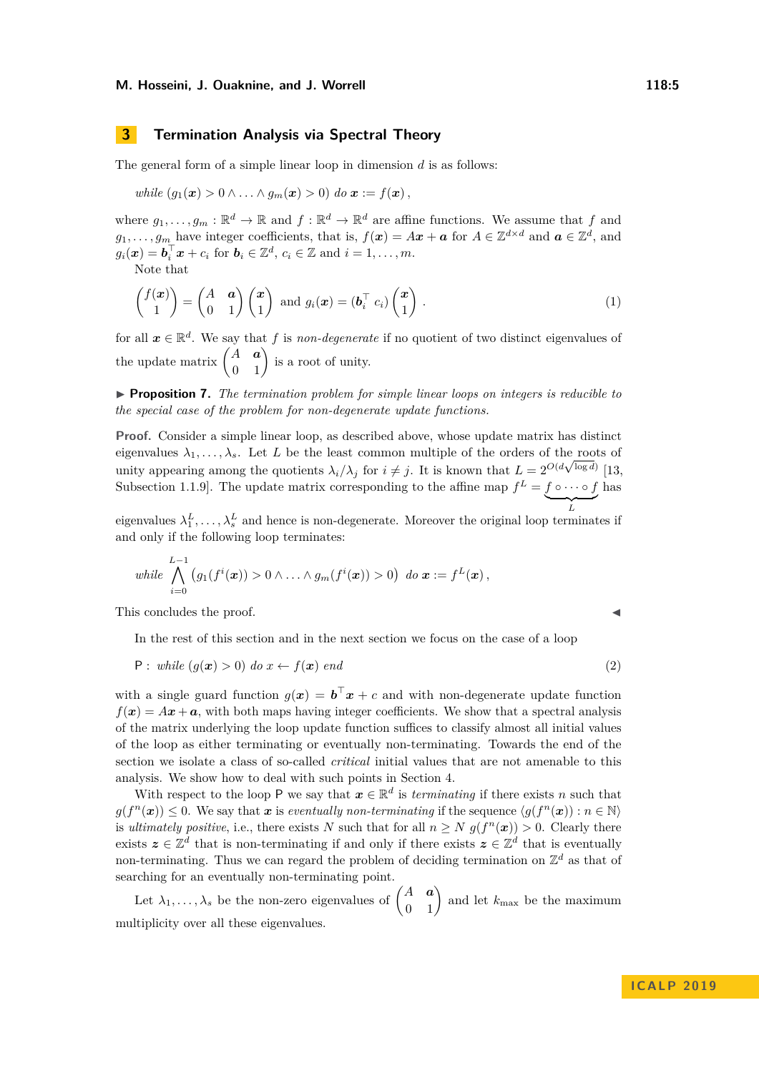## <span id="page-4-1"></span>**3 Termination Analysis via Spectral Theory**

The general form of a simple linear loop in dimension *d* is as follows:

while 
$$
(g_1(\mathbf{x}) > 0 \land \ldots \land g_m(\mathbf{x}) > 0)
$$
 do  $\mathbf{x} := f(\mathbf{x}),$ 

where  $g_1, \ldots, g_m : \mathbb{R}^d \to \mathbb{R}$  and  $f : \mathbb{R}^d \to \mathbb{R}^d$  are affine functions. We assume that  $f$  and  $g_1, \ldots, g_m$  have integer coefficients, that is,  $f(x) = Ax + a$  for  $A \in \mathbb{Z}^{d \times d}$  and  $a \in \mathbb{Z}^d$ , and  $g_i(\boldsymbol{x}) = \boldsymbol{b}_i^\top \boldsymbol{x} + c_i \text{ for } \boldsymbol{b}_i \in \mathbb{Z}^d, c_i \in \mathbb{Z} \text{ and } i = 1, \dots, m.$ 

Note that

<span id="page-4-2"></span>
$$
\begin{pmatrix} f(\boldsymbol{x}) \\ 1 \end{pmatrix} = \begin{pmatrix} A & \boldsymbol{a} \\ 0 & 1 \end{pmatrix} \begin{pmatrix} \boldsymbol{x} \\ 1 \end{pmatrix} \text{ and } g_i(\boldsymbol{x}) = (\boldsymbol{b}_i^\top c_i) \begin{pmatrix} \boldsymbol{x} \\ 1 \end{pmatrix} . \tag{1}
$$

for all  $x \in \mathbb{R}^d$ . We say that f is *non-degenerate* if no quotient of two distinct eigenvalues of the update matrix  $\begin{pmatrix} A & \mathbf{a} \\ 0 & 1 \end{pmatrix}$  is a root of unity.

I **Proposition 7.** *The termination problem for simple linear loops on integers is reducible to the special case of the problem for non-degenerate update functions.*

**Proof.** Consider a simple linear loop, as described above, whose update matrix has distinct eigenvalues  $\lambda_1, \ldots, \lambda_s$ . Let *L* be the least common multiple of the orders of the roots of unity appearing among the quotients  $\lambda_i/\lambda_j$  for  $i \neq j$ . It is known that  $L = 2^{O(d\sqrt{\log d})}$  [\[13,](#page-11-16) unity appearing among the quotients  $\lambda_i/\lambda_j$  for  $i \neq j$ . It is known that  $L = 2^{O(d\sqrt{\log d})}$  [13, Subsection 1.1.9. The update matrix corresponding to the affine map  $f^L = f \circ \cdots \circ f$  $\sum_{L}$ has

eigenvalues  $\lambda_1^L, \ldots, \lambda_s^L$  and hence is non-degenerate. Moreover the original loop terminates if and only if the following loop terminates:

while 
$$
\bigwedge_{i=0}^{L-1} (g_1(f^i(\boldsymbol{x})) > 0 \wedge \ldots \wedge g_m(f^i(\boldsymbol{x})) > 0) \text{ do } \boldsymbol{x} := f^L(\boldsymbol{x}),
$$

This concludes the proof.

<span id="page-4-0"></span>In the rest of this section and in the next section we focus on the case of a loop

$$
P: \text{ while } (g(x) > 0) \text{ do } x \leftarrow f(x) \text{ end} \tag{2}
$$

with a single guard function  $g(x) = b^{\top}x + c$  and with non-degenerate update function  $f(x) = Ax + a$ , with both maps having integer coefficients. We show that a spectral analysis of the matrix underlying the loop update function suffices to classify almost all initial values of the loop as either terminating or eventually non-terminating. Towards the end of the section we isolate a class of so-called *critical* initial values that are not amenable to this analysis. We show how to deal with such points in Section [4.](#page-7-0)

With respect to the loop P we say that  $x \in \mathbb{R}^d$  is *terminating* if there exists *n* such that  $g(f^{n}(\boldsymbol{x})) \leq 0$ . We say that *x* is *eventually non-terminating* if the sequence  $\langle g(f^{n}(\boldsymbol{x})) : n \in \mathbb{N} \rangle$ is *ultimately positive*, i.e., there exists *N* such that for all  $n \ge N$   $g(f^{n}(\boldsymbol{x})) > 0$ . Clearly there exists  $z \in \mathbb{Z}^d$  that is non-terminating if and only if there exists  $z \in \mathbb{Z}^d$  that is eventually non-terminating. Thus we can regard the problem of deciding termination on  $\mathbb{Z}^d$  as that of searching for an eventually non-terminating point.

Let  $\lambda_1, \ldots, \lambda_s$  be the non-zero eigenvalues of  $\begin{pmatrix} A & \boldsymbol{a} \\ 0 & 1 \end{pmatrix}$  and let  $k_{\text{max}}$  be the maximum multiplicity over all these eigenvalues.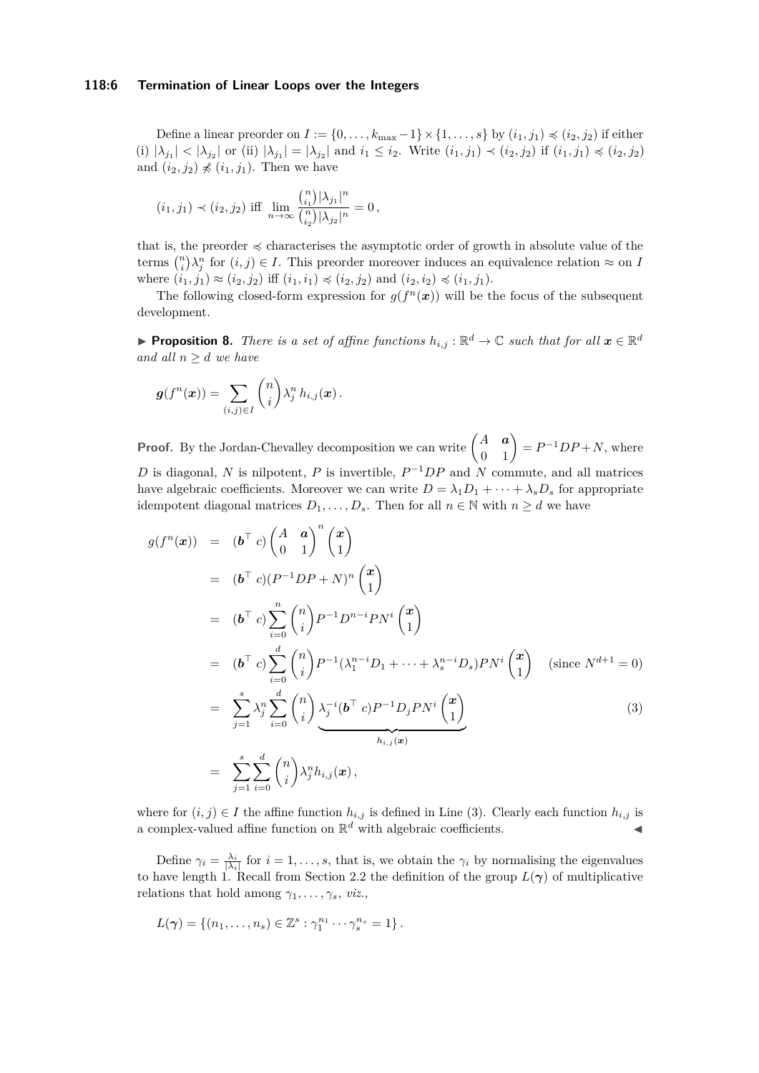#### **118:6 Termination of Linear Loops over the Integers**

Define a linear preorder on  $I := \{0, \ldots, k_{\text{max}}-1\} \times \{1, \ldots, s\}$  by  $(i_1, j_1) \preccurlyeq (i_2, j_2)$  if either (i)  $|\lambda_{j_1}| < |\lambda_{j_2}|$  or (ii)  $|\lambda_{j_1}| = |\lambda_{j_2}|$  and  $i_1 \leq i_2$ . Write  $(i_1, j_1) \prec (i_2, j_2)$  if  $(i_1, j_1) \preccurlyeq (i_2, j_2)$ and  $(i_2, j_2) \nless (i_1, j_1)$ . Then we have

$$
(i_1, j_1) \prec (i_2, j_2)
$$
 iff  $\lim_{n \to \infty} \frac{{n \choose i_1} |\lambda_{j_1}|^n}{ {n \choose i_2} |\lambda_{j_2}|^n} = 0$ ,

that is, the preorder  $\preccurlyeq$  characterises the asymptotic order of growth in absolute value of the terms  $\binom{n}{i}\lambda_j^n$  for  $(i, j) \in I$ . This preorder moreover induces an equivalence relation  $\approx$  on *I* where  $(i_1, j_1) \approx (i_2, j_2)$  iff  $(i_1, i_1) \preccurlyeq (i_2, j_2)$  and  $(i_2, i_2) \preccurlyeq (i_1, j_1)$ .

The following closed-form expression for  $g(f^n(x))$  will be the focus of the subsequent development.

<span id="page-5-1"></span>**Proposition 8.** *There is a set of affine functions*  $h_{i,j}$  :  $\mathbb{R}^d \to \mathbb{C}$  *such that for all*  $x \in \mathbb{R}^d$ *and all*  $n \geq d$  *we have* 

$$
\boldsymbol{g}(f^n(\boldsymbol{x})) = \sum_{(i,j)\in I} \binom{n}{i} \lambda_j^n h_{i,j}(\boldsymbol{x}).
$$

**Proof.** By the Jordan-Chevalley decomposition we can write  $\begin{pmatrix} A & a \\ 0 & 1 \end{pmatrix} = P^{-1}DP + N$ , where *D* is diagonal, *N* is nilpotent, *P* is invertible,  $P^{-1}DP$  and *N* commute, and all matrices have algebraic coefficients. Moreover we can write  $D = \lambda_1 D_1 + \cdots + \lambda_s D_s$  for appropriate idempotent diagonal matrices  $D_1, \ldots, D_s$ . Then for all  $n \in \mathbb{N}$  with  $n \geq d$  we have

<span id="page-5-0"></span>
$$
g(f^{n}(\boldsymbol{x})) = (\boldsymbol{b}^{\top} c) \begin{pmatrix} A & \boldsymbol{a} \\ 0 & 1 \end{pmatrix}^{n} \begin{pmatrix} \boldsymbol{x} \\ 1 \end{pmatrix}
$$
  
\n
$$
= (\boldsymbol{b}^{\top} c)(P^{-1}DP + N)^{n} \begin{pmatrix} \boldsymbol{x} \\ 1 \end{pmatrix}
$$
  
\n
$$
= (\boldsymbol{b}^{\top} c) \sum_{i=0}^{n} {n \choose i} P^{-1} D^{n-i} P N^{i} {x \choose 1}
$$
  
\n
$$
= (\boldsymbol{b}^{\top} c) \sum_{i=0}^{d} {n \choose i} P^{-1} (\lambda_{1}^{n-i} D_{1} + \dots + \lambda_{s}^{n-i} D_{s}) P N^{i} {x \choose 1} \text{ (since } N^{d+1} = 0)
$$
  
\n
$$
= \sum_{j=1}^{s} \lambda_{j}^{n} \sum_{i=0}^{d} {n \choose i} \frac{\lambda_{j}^{-i} (\boldsymbol{b}^{\top} c) P^{-1} D_{j} P N^{i} {x \choose 1}}{h_{i,j}(\boldsymbol{x})}
$$
  
\n
$$
= \sum_{j=1}^{s} \sum_{i=0}^{d} {n \choose i} \lambda_{j}^{n} h_{i,j}(\boldsymbol{x}),
$$
  
\n(3)

where for  $(i, j) \in I$  the affine function  $h_{i,j}$  is defined in Line [\(3\)](#page-5-0). Clearly each function  $h_{i,j}$  is a complex-valued affine function on  $\mathbb{R}^d$  with algebraic coefficients.

Define  $\gamma_i = \frac{\lambda_i}{|\lambda_i|}$  for  $i = 1, \ldots, s$ , that is, we obtain the  $\gamma_i$  by normalising the eigenvalues to have length 1. Recall from Section [2.2](#page-3-1) the definition of the group  $L(\gamma)$  of multiplicative relations that hold among  $\gamma_1, \ldots, \gamma_s, \text{viz.},$ 

$$
L(\gamma) = \{(n_1,\ldots,n_s) \in \mathbb{Z}^s : \gamma_1^{n_1} \cdots \gamma_s^{n_s} = 1\}.
$$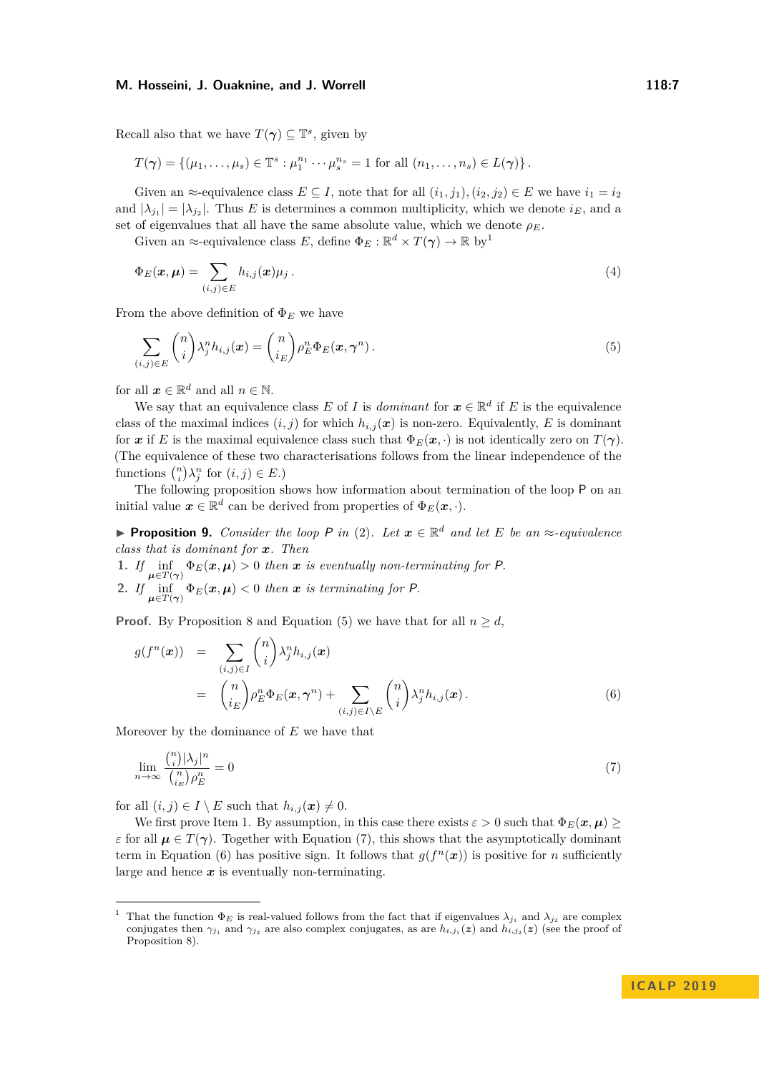Recall also that we have  $T(\gamma) \subseteq \mathbb{T}^s$ , given by

$$
T(\boldsymbol{\gamma}) = \{(\mu_1, \ldots, \mu_s) \in \mathbb{T}^s : \mu_1^{n_1} \cdots \mu_s^{n_s} = 1 \text{ for all } (n_1, \ldots, n_s) \in L(\boldsymbol{\gamma})\}.
$$

Given an  $\approx$ -equivalence class  $E \subseteq I$ , note that for all  $(i_1, j_1), (i_2, j_2) \in E$  we have  $i_1 = i_2$ and  $|\lambda_{j_1}| = |\lambda_{j_2}|$ . Thus *E* is determines a common multiplicity, which we denote  $i_E$ , and a set of eigenvalues that all have the same absolute value, which we denote  $\rho_E$ .

Given an  $\approx$ -equivalence class *E*, define  $\Phi_E : \mathbb{R}^d \times T(\gamma) \to \mathbb{R}$  by<sup>[1](#page-6-0)</sup>

<span id="page-6-5"></span>
$$
\Phi_E(\boldsymbol{x}, \boldsymbol{\mu}) = \sum_{(i,j) \in E} h_{i,j}(\boldsymbol{x}) \mu_j.
$$
\n(4)

From the above definition of  $\Phi_E$  we have

<span id="page-6-1"></span>
$$
\sum_{(i,j)\in E} \binom{n}{i} \lambda_j^n h_{i,j}(\boldsymbol{x}) = \binom{n}{i_E} \rho_E^n \Phi_E(\boldsymbol{x}, \boldsymbol{\gamma}^n).
$$
\n(5)

for all  $x \in \mathbb{R}^d$  and all  $n \in \mathbb{N}$ .

We say that an equivalence class *E* of *I* is *dominant* for  $x \in \mathbb{R}^d$  if *E* is the equivalence class of the maximal indices  $(i, j)$  for which  $h_{i,j}(x)$  is non-zero. Equivalently, *E* is dominant for *x* if *E* is the maximal equivalence class such that  $\Phi_E(\mathbf{x}, \cdot)$  is not identically zero on  $T(\gamma)$ . (The equivalence of these two characterisations follows from the linear independence of the functions  $\binom{n}{i} \lambda_j^n$  for  $(i, j) \in E$ .)

The following proposition shows how information about termination of the loop P on an initial value  $\mathbf{x} \in \mathbb{R}^d$  can be derived from properties of  $\Phi_E(\mathbf{x}, \cdot)$ .

**Proposition 9.** *Consider the loop*  $P$  *in* [\(2\)](#page-4-0)*. Let*  $x \in \mathbb{R}^d$  *and let*  $E$  *be an*  $\approx$ *-equivalence class that is dominant for x. Then*

<span id="page-6-4"></span>1. If  $\inf_{\mu \in T(\gamma)} \Phi_E(x, \mu) > 0$  then *x* is eventually non-terminating for P. **2.** *If*  $\inf_{\mu \in T(\gamma)} \Phi_E(x, \mu) < 0$  *then x is terminating for P.* 

**Proof.** By Proposition [8](#page-5-1) and Equation [\(5\)](#page-6-1) we have that for all  $n \geq d$ ,

<span id="page-6-3"></span>
$$
g(f^{n}(\boldsymbol{x})) = \sum_{(i,j)\in I} {n \choose i} \lambda_{j}^{n} h_{i,j}(\boldsymbol{x})
$$
  

$$
= {n \choose i_{E}} \rho_{E}^{n} \Phi_{E}(\boldsymbol{x}, \boldsymbol{\gamma}^{n}) + \sum_{(i,j)\in I\setminus E} {n \choose i} \lambda_{j}^{n} h_{i,j}(\boldsymbol{x}).
$$
 (6)

Moreover by the dominance of *E* we have that

<span id="page-6-2"></span>
$$
\lim_{n \to \infty} \frac{\binom{n}{i} |\lambda_j|^n}{\binom{n}{i_E} \rho_E^n} = 0 \tag{7}
$$

for all  $(i, j) \in I \setminus E$  such that  $h_{i,j}(\boldsymbol{x}) \neq 0$ .

We first prove Item 1. By assumption, in this case there exists  $\varepsilon > 0$  such that  $\Phi_E(\mathbf{x}, \mu) \geq 0$ *ε* for all  $\mu \in T(\gamma)$ . Together with Equation [\(7\)](#page-6-2), this shows that the asymptotically dominant term in Equation [\(6\)](#page-6-3) has positive sign. It follows that  $g(f^{n}(x))$  is positive for *n* sufficiently large and hence  $x$  is eventually non-terminating.

<span id="page-6-0"></span>That the function  $\Phi_E$  is real-valued follows from the fact that if eigenvalues  $\lambda_{j_1}$  and  $\lambda_{j_2}$  are complex conjugates then  $\gamma_{j_1}$  and  $\gamma_{j_2}$  are also complex conjugates, as are  $h_{i,j_1}(z)$  and  $h_{i,j_2}(z)$  (see the proof of Proposition [8\)](#page-5-1).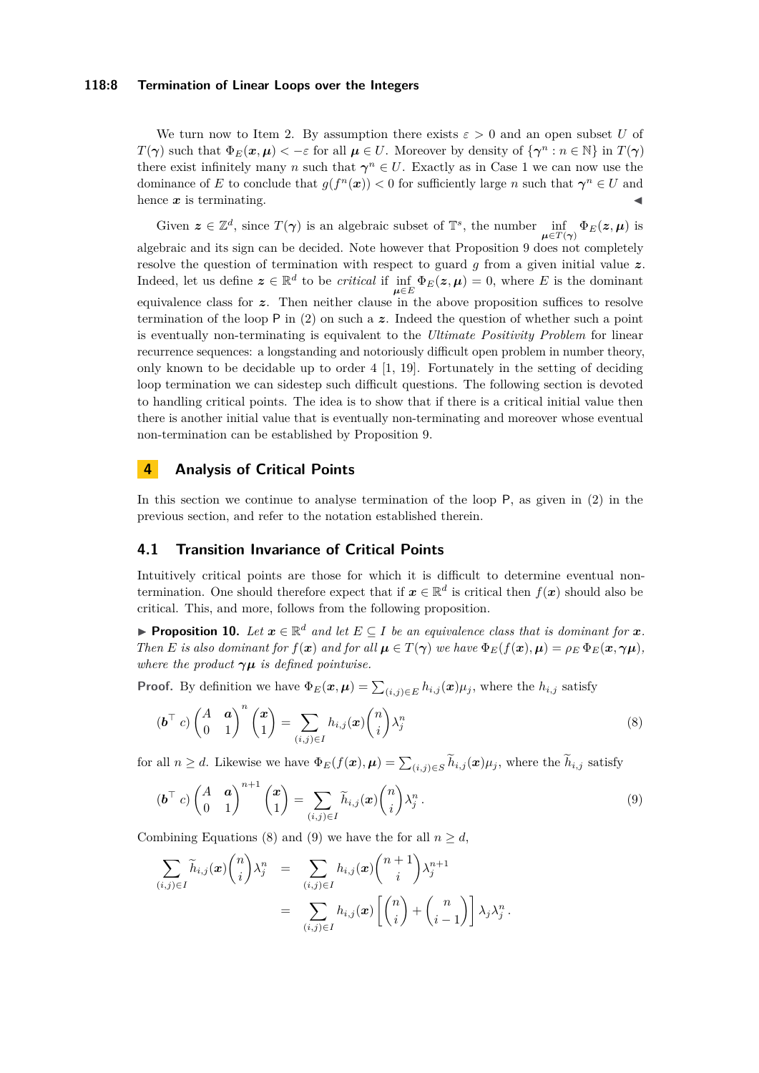#### **118:8 Termination of Linear Loops over the Integers**

We turn now to Item 2. By assumption there exists  $\varepsilon > 0$  and an open subset U of *T*(*γ*) such that  $\Phi_E(\mathbf{x}, \mu) < -\varepsilon$  for all  $\mu \in U$ . Moreover by density of  $\{\gamma^n : n \in \mathbb{N}\}\$ in  $T(\gamma)$ there exist infinitely many *n* such that  $\gamma^n \in U$ . Exactly as in Case 1 we can now use the dominance of *E* to conclude that  $g(f^{n}(x)) < 0$  for sufficiently large *n* such that  $\gamma^{n} \in U$  and hence  $\boldsymbol{x}$  is terminating.

Given  $z \in \mathbb{Z}^d$ , since  $T(\gamma)$  is an algebraic subset of  $\mathbb{T}^s$ , the number  $\inf_{\mu \in T(\gamma)} \Phi_E(z, \mu)$  is algebraic and its sign can be decided. Note however that Proposition [9](#page-6-4) does not completely resolve the question of termination with respect to guard *g* from a given initial value *z*. Indeed, let us define  $z \in \mathbb{R}^d$  to be *critical* if  $\inf_{\mu \in E} \Phi_E(z, \mu) = 0$ , where *E* is the dominant equivalence class for *z*. Then neither clause in the above proposition suffices to resolve termination of the loop P in [\(2\)](#page-4-0) on such a *z*. Indeed the question of whether such a point is eventually non-terminating is equivalent to the *Ultimate Positivity Problem* for linear recurrence sequences: a longstanding and notoriously difficult open problem in number theory, only known to be decidable up to order  $4 \left[ 1, 19 \right]$ . Fortunately in the setting of deciding loop termination we can sidestep such difficult questions. The following section is devoted to handling critical points. The idea is to show that if there is a critical initial value then there is another initial value that is eventually non-terminating and moreover whose eventual non-termination can be established by Proposition [9.](#page-6-4)

## <span id="page-7-0"></span>**4 Analysis of Critical Points**

In this section we continue to analyse termination of the loop P, as given in [\(2\)](#page-4-0) in the previous section, and refer to the notation established therein.

## **4.1 Transition Invariance of Critical Points**

Intuitively critical points are those for which it is difficult to determine eventual nontermination. One should therefore expect that if  $x \in \mathbb{R}^d$  is critical then  $f(x)$  should also be critical. This, and more, follows from the following proposition.

**Proposition 10.** Let  $x \in \mathbb{R}^d$  and let  $E \subseteq I$  be an equivalence class that is dominant for  $x$ . Then E is also dominant for  $f(x)$  and for all  $\mu \in T(\gamma)$  we have  $\Phi_E(f(x), \mu) = \rho_E \Phi_E(x, \gamma \mu)$ , *where the product*  $\gamma \mu$  *is defined pointwise.* 

**Proof.** By definition we have  $\Phi_E(\mathbf{x}, \mu) = \sum_{(i,j) \in E} h_{i,j}(\mathbf{x}) \mu_j$ , where the  $h_{i,j}$  satisfy

<span id="page-7-1"></span>
$$
(\boldsymbol{b}^{\top} c) \begin{pmatrix} A & \boldsymbol{a} \\ 0 & 1 \end{pmatrix}^{n} \begin{pmatrix} \boldsymbol{x} \\ 1 \end{pmatrix} = \sum_{(i,j) \in I} h_{i,j}(\boldsymbol{x}) \binom{n}{i} \lambda_{j}^{n}
$$
\n(8)

for all  $n \geq d$ . Likewise we have  $\Phi_E(f(\mathbf{x}), \boldsymbol{\mu}) = \sum_{(i,j) \in S} h_{i,j}(\mathbf{x}) \mu_j$ , where the  $h_{i,j}$  satisfy

<span id="page-7-2"></span>
$$
(\boldsymbol{b}^{\top} c) \begin{pmatrix} A & \boldsymbol{a} \\ 0 & 1 \end{pmatrix}^{n+1} \begin{pmatrix} \boldsymbol{x} \\ 1 \end{pmatrix} = \sum_{(i,j) \in I} \widetilde{h}_{i,j}(\boldsymbol{x}) \binom{n}{i} \lambda_j^n.
$$
 (9)

Combining Equations [\(8\)](#page-7-1) and [\(9\)](#page-7-2) we have the for all  $n \geq d$ ,

$$
\sum_{(i,j)\in I} \widetilde{h}_{i,j}(\boldsymbol{x}) {n \choose i} \lambda_j^n = \sum_{(i,j)\in I} h_{i,j}(\boldsymbol{x}) {n+1 \choose i} \lambda_j^{n+1}
$$
  
= 
$$
\sum_{(i,j)\in I} h_{i,j}(\boldsymbol{x}) \left[ {n \choose i} + {n \choose i-1} \right] \lambda_j \lambda_j^n.
$$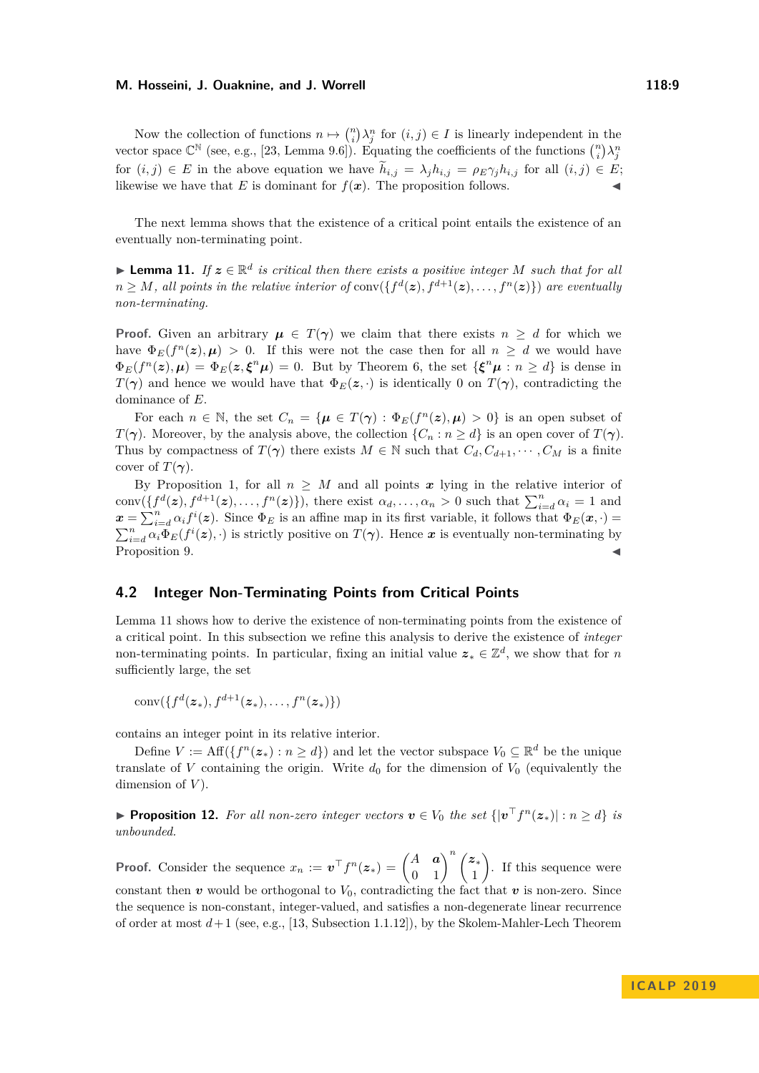Now the collection of functions  $n \mapsto {n \choose i} \lambda_j^n$  for  $(i, j) \in I$  is linearly independent in the vector space  $\mathbb{C}^{\mathbb{N}}$  (see, e.g., [\[23,](#page-12-7) Lemma 9.6]). Equating the coefficients of the functions  $\binom{n}{i}\lambda_j^n$ for  $(i, j) \in E$  in the above equation we have  $\tilde{h}_{i,j} = \lambda_j h_{i,j} = \rho_E \gamma_j h_{i,j}$  for all  $(i, j) \in E$ ; likewise we have that *E* is dominant for  $f(x)$ . The proposition follows.

The next lemma shows that the existence of a critical point entails the existence of an eventually non-terminating point.

<span id="page-8-0"></span>**I Lemma 11.** If  $z \in \mathbb{R}^d$  is critical then there exists a positive integer M such that for all  $n \geq M$ *, all points in the relative interior of* conv $(\{f^d(z), f^{d+1}(z), \ldots, f^n(z)\})$  are eventually *non-terminating.*

**Proof.** Given an arbitrary  $\mu \in T(\gamma)$  we claim that there exists  $n \geq d$  for which we have  $\Phi_E(f^n(z), \mu) > 0$ . If this were not the case then for all  $n \geq d$  we would have  $\Phi_E(f^n(z), \mu) = \Phi_E(z, \xi^n \mu) = 0$ . But by Theorem [6,](#page-3-2) the set  $\{\xi^n \mu : n \geq d\}$  is dense in *T*(*γ*) and hence we would have that  $\Phi_E(z, \cdot)$  is identically 0 on *T*(*γ*), contradicting the dominance of *E*.

For each  $n \in \mathbb{N}$ , the set  $C_n = {\mu \in T(\gamma) : \Phi_E(f^n(z), \mu) > 0}$  is an open subset of *T*( $\gamma$ ). Moreover, by the analysis above, the collection  $\{C_n : n \geq d\}$  is an open cover of  $T(\gamma)$ . Thus by compactness of  $T(\gamma)$  there exists  $M \in \mathbb{N}$  such that  $C_d, C_{d+1}, \cdots, C_M$  is a finite cover of  $T(\gamma)$ .

By Proposition [1,](#page-2-0) for all  $n \geq M$  and all points x lying in the relative interior of conv $(\lbrace f^d(z), f^{d+1}(z), \ldots, f^n(z) \rbrace)$ , there exist  $\alpha_d, \ldots, \alpha_n > 0$  such that  $\sum_{i=d}^n \alpha_i = 1$  and  $\mathbf{x} = \sum_{i=d}^{n} \alpha_i f^{i}(\mathbf{z})$ . Since  $\Phi_E$  is an affine map in its first variable, it follows that  $\Phi_E(\mathbf{x}, \cdot) =$  $\sum_{i=d}^{n} \alpha_i \Phi_E(f^i(z), \cdot)$  is strictly positive on  $T(\gamma)$ . Hence *x* is eventually non-terminating by Proposition [9.](#page-6-4)

#### **4.2 Integer Non-Terminating Points from Critical Points**

Lemma [11](#page-8-0) shows how to derive the existence of non-terminating points from the existence of a critical point. In this subsection we refine this analysis to derive the existence of *integer* non-terminating points. In particular, fixing an initial value  $z_* \in \mathbb{Z}^d$ , we show that for *n* sufficiently large, the set

$$
\operatorname{conv}(\{f^d(\boldsymbol{z}_*), f^{d+1}(\boldsymbol{z}_*), \dots, f^n(\boldsymbol{z}_*)\})
$$

contains an integer point in its relative interior.

Define  $V := \text{Aff}(\lbrace f^n(z_*) : n \geq d \rbrace)$  and let the vector subspace  $V_0 \subseteq \mathbb{R}^d$  be the unique translate of *V* containing the origin. Write  $d_0$  for the dimension of  $V_0$  (equivalently the dimension of *V* ).

<span id="page-8-1"></span>▶ **Proposition 12.** For all non-zero integer vectors  $v \in V_0$  the set  $\{|\boldsymbol{v}^{\top}f^n(z_*)| : n \geq d\}$  is *unbounded.*

**Proof.** Consider the sequence  $x_n := \boldsymbol{v}^\top f^n(\boldsymbol{z}_*) = \begin{pmatrix} A & \boldsymbol{a} \\ 0 & 1 \end{pmatrix}^n \begin{pmatrix} \boldsymbol{z}_* \\ 1 \end{pmatrix}$ 1 . If this sequence were constant then  $v$  would be orthogonal to  $V_0$ , contradicting the fact that  $v$  is non-zero. Since the sequence is non-constant, integer-valued, and satisfies a non-degenerate linear recurrence of order at most *d*+ 1 (see, e.g., [\[13,](#page-11-16) Subsection 1.1.12]), by the Skolem-Mahler-Lech Theorem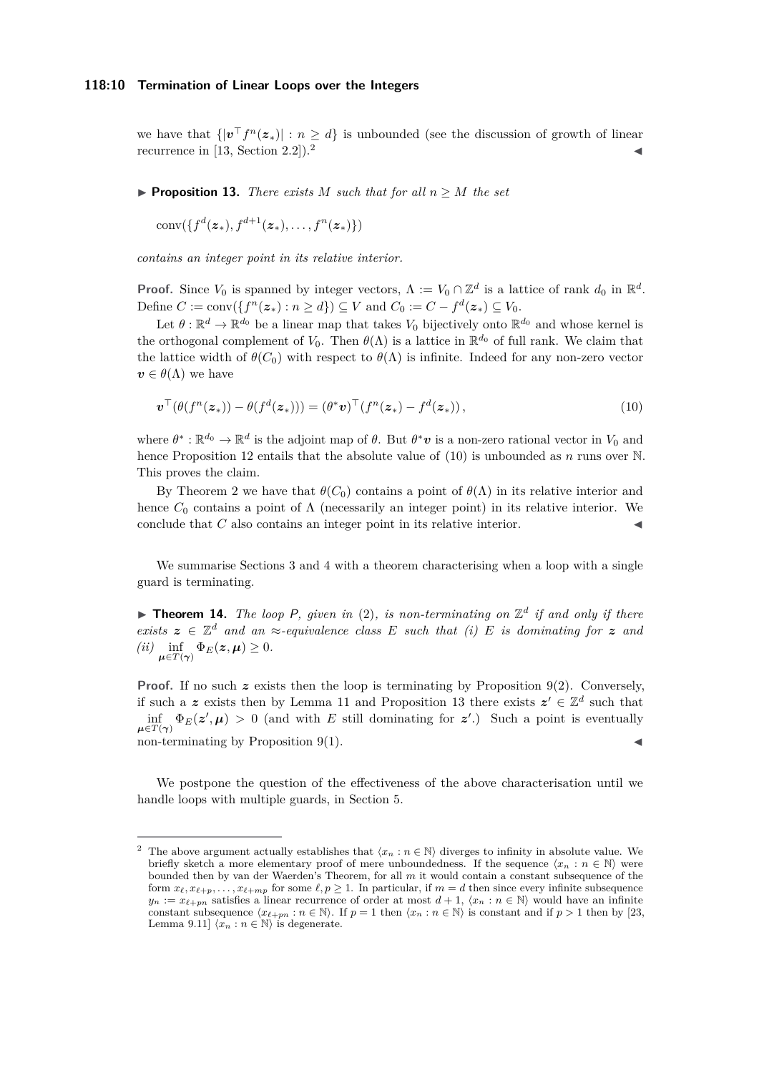we have that  $\{|\boldsymbol{v}^\top f^n(\boldsymbol{z}_*)| : n \geq d\}$  is unbounded (see the discussion of growth of linear recurrence in  $[13, Section 2.2]$  $[13, Section 2.2]$  $[13, Section 2.2]$  $[13, Section 2.2]$ .

<span id="page-9-2"></span>**Proposition 13.** *There exists*  $M$  *such that for all*  $n \geq M$  *the set* 

 $\text{conv}(\{f^d(\bm{z}_*), f^{d+1}(\bm{z}_*), \ldots, f^n(\bm{z}_*)\})$ 

*contains an integer point in its relative interior.*

**Proof.** Since  $V_0$  is spanned by integer vectors,  $\Lambda := V_0 \cap \mathbb{Z}^d$  is a lattice of rank  $d_0$  in  $\mathbb{R}^d$ . Define  $C := \text{conv}(\{f^n(z_*) : n \ge d\}) \subseteq V$  and  $C_0 := C - f^d(z_*) \subseteq V_0$ .

Let  $\theta : \mathbb{R}^d \to \mathbb{R}^{d_0}$  be a linear map that takes  $V_0$  bijectively onto  $\mathbb{R}^{d_0}$  and whose kernel is the orthogonal complement of  $V_0$ . Then  $\theta(\Lambda)$  is a lattice in  $\mathbb{R}^{d_0}$  of full rank. We claim that the lattice width of  $\theta(C_0)$  with respect to  $\theta(\Lambda)$  is infinite. Indeed for any non-zero vector  $v \in \theta(\Lambda)$  we have

<span id="page-9-1"></span>
$$
\boldsymbol{v}^{\top}(\theta(f^{n}(\boldsymbol{z}_{*})) - \theta(f^{d}(\boldsymbol{z}_{*}))) = (\theta^{*}\boldsymbol{v})^{\top}(f^{n}(\boldsymbol{z}_{*}) - f^{d}(\boldsymbol{z}_{*})),
$$
\n(10)

where  $\theta^* : \mathbb{R}^{d_0} \to \mathbb{R}^d$  is the adjoint map of  $\theta$ . But  $\theta^* \mathbf{v}$  is a non-zero rational vector in  $V_0$  and hence Proposition [12](#page-8-1) entails that the absolute value of [\(10\)](#page-9-1) is unbounded as *n* runs over N. This proves the claim.

By Theorem [2](#page-2-1) we have that  $\theta(C_0)$  contains a point of  $\theta(\Lambda)$  in its relative interior and hence  $C_0$  contains a point of  $\Lambda$  (necessarily an integer point) in its relative interior. We conclude that  $C$  also contains an integer point in its relative interior.

We summarise Sections [3](#page-4-1) and [4](#page-7-0) with a theorem characterising when a loop with a single guard is terminating.

<span id="page-9-3"></span>**Theorem 14.** The loop P, given in [\(2\)](#page-4-0), is non-terminating on  $\mathbb{Z}^d$  if and only if there *exists*  $z \in \mathbb{Z}^d$  *and an*  $\approx$ *-equivalence class E such that (i) E is dominating for z and*  $(iii)$   $\inf_{\mu \in T(\gamma)} \Phi_E(z, \mu) \geq 0.$ 

Proof. If no such z exists then the loop is terminating by Proposition [9\(](#page-6-4)2). Conversely, if such a z exists then by Lemma [11](#page-8-0) and Proposition [13](#page-9-2) there exists  $z' \in \mathbb{Z}^d$  such that  $\inf_{\mu \in T(\gamma)} \Phi_E(z', \mu) > 0$  (and with *E* still dominating for *z'*.) Such a point is eventually  $\blacksquare$ non-terminating by Proposition [9\(](#page-6-4)1).

We postpone the question of the effectiveness of the above characterisation until we handle loops with multiple guards, in Section [5.](#page-10-0)

<span id="page-9-0"></span>The above argument actually establishes that  $\langle x_n : n \in \mathbb{N} \rangle$  diverges to infinity in absolute value. We briefly sketch a more elementary proof of mere unboundedness. If the sequence  $\langle x_n : n \in \mathbb{N} \rangle$  were bounded then by van der Waerden's Theorem, for all *m* it would contain a constant subsequence of the form  $x_{\ell}, x_{\ell+p}, \ldots, x_{\ell+mp}$  for some  $\ell, p \ge 1$ . In particular, if  $m = d$  then since every infinite subsequence  $y_n := x_{\ell+pn}$  satisfies a linear recurrence of order at most  $d+1$ ,  $\langle x_n : n \in \mathbb{N} \rangle$  would have an infinite constant subsequence  $\langle x_{\ell+m} : n \in \mathbb{N} \rangle$ . If  $p = 1$  then  $\langle x_n : n \in \mathbb{N} \rangle$  is constant and if  $p > 1$  then by [\[23,](#page-12-7) Lemma 9.11]  $\langle x_n : n \in \mathbb{N} \rangle$  is degenerate.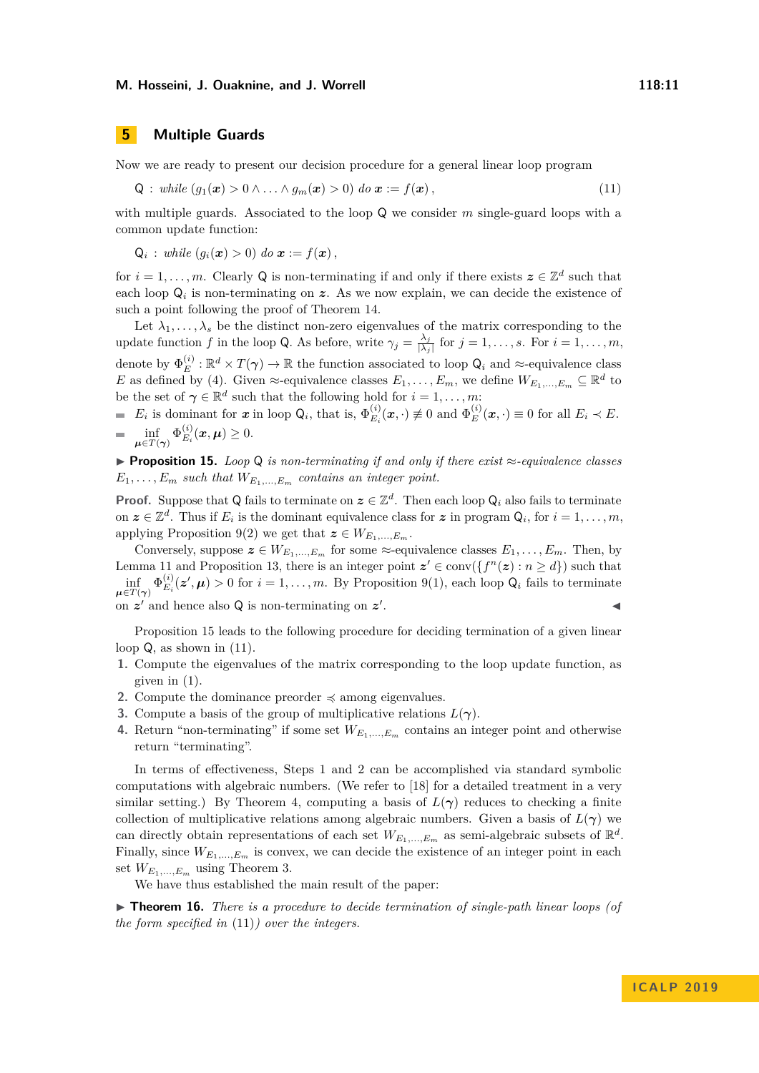## <span id="page-10-0"></span>**5 Multiple Guards**

Now we are ready to present our decision procedure for a general linear loop program

<span id="page-10-2"></span>
$$
Q: while (g_1(\boldsymbol{x}) > 0 \wedge ... \wedge g_m(\boldsymbol{x}) > 0) do \boldsymbol{x} := f(\boldsymbol{x}), \qquad (11)
$$

with multiple guards. Associated to the loop Q we consider *m* single-guard loops with a common update function:

$$
Q_i: while (g_i(\boldsymbol{x}) > 0) do \boldsymbol{x} := f(\boldsymbol{x}),
$$

for  $i = 1, \ldots, m$ . Clearly Q is non-terminating if and only if there exists  $z \in \mathbb{Z}^d$  such that each loop  $\mathsf{Q}_i$  is non-terminating on  $z$ . As we now explain, we can decide the existence of such a point following the proof of Theorem [14.](#page-9-3)

Let  $\lambda_1, \ldots, \lambda_s$  be the distinct non-zero eigenvalues of the matrix corresponding to the update function *f* in the loop Q. As before, write  $\gamma_j = \frac{\lambda_j}{\lambda_j}$  $\frac{\lambda_j}{|\lambda_j|}$  for  $j = 1, \ldots, s$ . For  $i = 1, \ldots, m$ , denote by  $\Phi_E^{(i)}$  $E_E^{(i)}$ :  $\mathbb{R}^d \times T(\gamma) \to \mathbb{R}$  the function associated to loop  $\mathsf{Q}_i$  and  $\approx$ -equivalence class *E* as defined by [\(4\)](#page-6-5). Given  $\approx$ -equivalence classes  $E_1, \ldots, E_m$ , we define  $W_{E_1, \ldots, E_m} \subseteq \mathbb{R}^d$  to be the set of  $\gamma \in \mathbb{R}^d$  such that the following hold for  $i = 1, \ldots, m$ :

 $E_i$  is dominant for *x* in loop  $Q_i$ , that is,  $\Phi_{E_i}^{(i)}$  $E_i^{(i)}(\boldsymbol{x},\cdot) \not\equiv 0$  and  $\Phi_E^{(i)}$  $E^{(i)}_E(\boldsymbol{x},\cdot) \equiv 0$  for all  $E_i \prec E$ .  $\inf_{\boldsymbol{\mu} \in T(\boldsymbol{\gamma})} \Phi_{E_i}^{(i)}$  $E_i^{(i)}(\boldsymbol{x}, \boldsymbol{\mu}) \geq 0.$ 

<span id="page-10-1"></span>I **Proposition 15.** *Loop* Q *is non-terminating if and only if there exist* ≈*-equivalence classes*  $E_1, \ldots, E_m$  *such that*  $W_{E_1, \ldots, E_m}$  *contains an integer point.* 

**Proof.** Suppose that Q fails to terminate on  $z \in \mathbb{Z}^d$ . Then each loop  $Q_i$  also fails to terminate on  $z \in \mathbb{Z}^d$ . Thus if  $E_i$  is the dominant equivalence class for  $z$  in program  $Q_i$ , for  $i = 1, \ldots, m$ , applying Proposition [9\(](#page-6-4)2) we get that  $z \in W_{E_1,...,E_m}$ .

Conversely, suppose  $z \in W_{E_1,\ldots,E_m}$  for some  $\approx$ -equivalence classes  $E_1,\ldots,E_m$ . Then, by Lemma [11](#page-8-0) and Proposition [13,](#page-9-2) there is an integer point  $z' \in \text{conv}(\{f^n(z) : n \ge d\})$  such that  $\inf \, \varphi^{(i)}_{E_i}$  $\mu \in T(\gamma)$  $E_i(z', \mu) > 0$  for  $i = 1, \ldots, m$ . By Proposition [9\(](#page-6-4)1), each loop  $Q_i$  fails to terminate on  $z'$  and hence also  $Q$  is non-terminating on  $z'$ . John Stein Stein Stein Stein Stein Stein Stein Stein Stein Stein Stein Stein Stein Stein Stein Stein Stein S<br>Die Stein Stein Stein Stein Stein Stein Stein Stein Stein Stein Stein Stein Stein Stein Stein Stein Stein Stei

Proposition [15](#page-10-1) leads to the following procedure for deciding termination of a given linear loop Q, as shown in [\(11\)](#page-10-2).

- **1.** Compute the eigenvalues of the matrix corresponding to the loop update function, as given in [\(1\)](#page-4-2).
- **2.** Compute the dominance preorder  $\preccurlyeq$  among eigenvalues.
- **3.** Compute a basis of the group of multiplicative relations *L*(*γ*).
- **4.** Return "non-terminating" if some set  $W_{E_1,...,E_m}$  contains an integer point and otherwise return "terminating".

In terms of effectiveness, Steps 1 and 2 can be accomplished via standard symbolic computations with algebraic numbers. (We refer to [\[18\]](#page-11-4) for a detailed treatment in a very similar setting.) By Theorem [4,](#page-3-0) computing a basis of  $L(\gamma)$  reduces to checking a finite collection of multiplicative relations among algebraic numbers. Given a basis of  $L(\gamma)$  we can directly obtain representations of each set  $W_{E_1,...,E_m}$  as semi-algebraic subsets of  $\mathbb{R}^d$ . Finally, since  $W_{E_1,...,E_m}$  is convex, we can decide the existence of an integer point in each set  $W_{E_1,...,E_m}$  using Theorem [3.](#page-2-2)

We have thus established the main result of the paper:

► **Theorem 16.** *There is a procedure to decide termination of single-path linear loops (of the form specified in* [\(11\)](#page-10-2)*) over the integers.*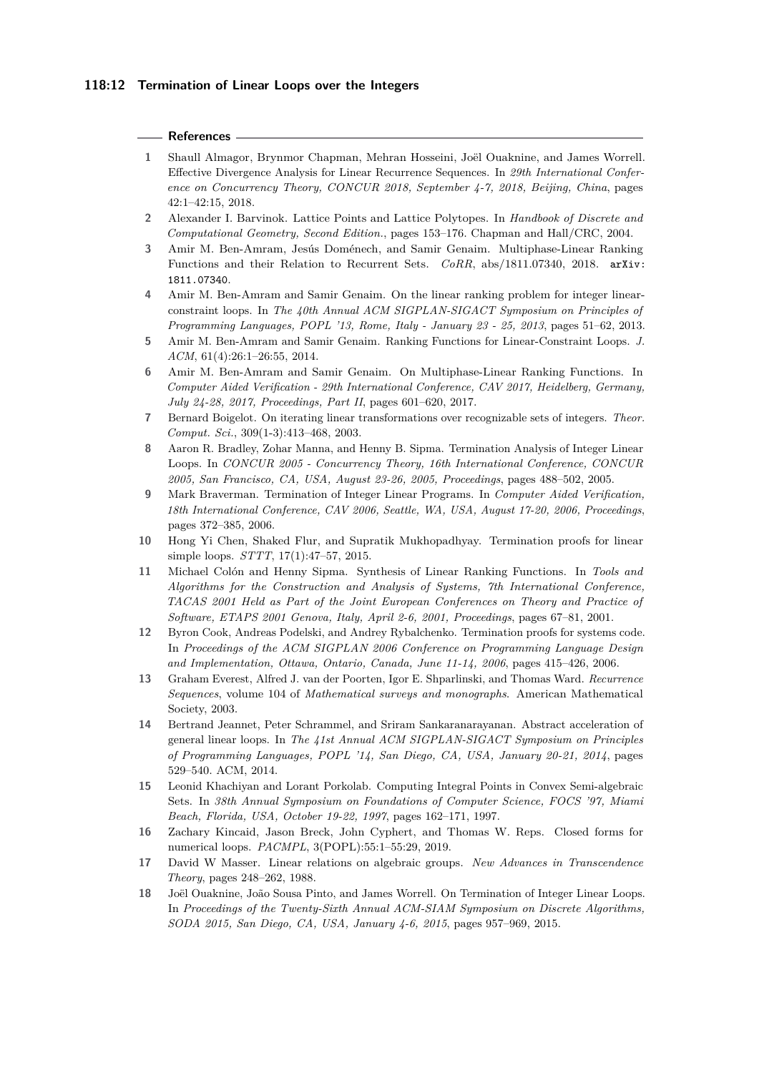#### **References**

- <span id="page-11-17"></span>**1** Shaull Almagor, Brynmor Chapman, Mehran Hosseini, Joël Ouaknine, and James Worrell. Effective Divergence Analysis for Linear Recurrence Sequences. In *29th International Conference on Concurrency Theory, CONCUR 2018, September 4-7, 2018, Beijing, China*, pages 42:1–42:15, 2018.
- <span id="page-11-13"></span>**2** Alexander I. Barvinok. Lattice Points and Lattice Polytopes. In *Handbook of Discrete and Computational Geometry, Second Edition.*, pages 153–176. Chapman and Hall/CRC, 2004.
- <span id="page-11-11"></span>**3** Amir M. Ben-Amram, Jesús Doménech, and Samir Genaim. Multiphase-Linear Ranking Functions and their Relation to Recurrent Sets. *CoRR*, abs/1811.07340, 2018. [arXiv:](http://arxiv.org/abs/1811.07340) [1811.07340](http://arxiv.org/abs/1811.07340).
- <span id="page-11-5"></span>**4** Amir M. Ben-Amram and Samir Genaim. On the linear ranking problem for integer linearconstraint loops. In *The 40th Annual ACM SIGPLAN-SIGACT Symposium on Principles of Programming Languages, POPL '13, Rome, Italy - January 23 - 25, 2013*, pages 51–62, 2013.
- <span id="page-11-6"></span>**5** Amir M. Ben-Amram and Samir Genaim. Ranking Functions for Linear-Constraint Loops. *J. ACM*, 61(4):26:1–26:55, 2014.
- <span id="page-11-10"></span>**6** Amir M. Ben-Amram and Samir Genaim. On Multiphase-Linear Ranking Functions. In *Computer Aided Verification - 29th International Conference, CAV 2017, Heidelberg, Germany, July 24-28, 2017, Proceedings, Part II*, pages 601–620, 2017.
- <span id="page-11-0"></span>**7** Bernard Boigelot. On iterating linear transformations over recognizable sets of integers. *Theor. Comput. Sci.*, 309(1-3):413–468, 2003.
- <span id="page-11-7"></span>**8** Aaron R. Bradley, Zohar Manna, and Henny B. Sipma. Termination Analysis of Integer Linear Loops. In *CONCUR 2005 - Concurrency Theory, 16th International Conference, CONCUR 2005, San Francisco, CA, USA, August 23-26, 2005, Proceedings*, pages 488–502, 2005.
- <span id="page-11-3"></span>**9** Mark Braverman. Termination of Integer Linear Programs. In *Computer Aided Verification, 18th International Conference, CAV 2006, Seattle, WA, USA, August 17-20, 2006, Proceedings*, pages 372–385, 2006.
- <span id="page-11-8"></span>**10** Hong Yi Chen, Shaked Flur, and Supratik Mukhopadhyay. Termination proofs for linear simple loops. *STTT*, 17(1):47–57, 2015.
- <span id="page-11-9"></span>**11** Michael Colón and Henny Sipma. Synthesis of Linear Ranking Functions. In *Tools and Algorithms for the Construction and Analysis of Systems, 7th International Conference, TACAS 2001 Held as Part of the Joint European Conferences on Theory and Practice of Software, ETAPS 2001 Genova, Italy, April 2-6, 2001, Proceedings*, pages 67–81, 2001.
- <span id="page-11-12"></span>**12** Byron Cook, Andreas Podelski, and Andrey Rybalchenko. Termination proofs for systems code. In *Proceedings of the ACM SIGPLAN 2006 Conference on Programming Language Design and Implementation, Ottawa, Ontario, Canada, June 11-14, 2006*, pages 415–426, 2006.
- <span id="page-11-16"></span>**13** Graham Everest, Alfred J. van der Poorten, Igor E. Shparlinski, and Thomas Ward. *Recurrence Sequences*, volume 104 of *Mathematical surveys and monographs*. American Mathematical Society, 2003.
- <span id="page-11-1"></span>**14** Bertrand Jeannet, Peter Schrammel, and Sriram Sankaranarayanan. Abstract acceleration of general linear loops. In *The 41st Annual ACM SIGPLAN-SIGACT Symposium on Principles of Programming Languages, POPL '14, San Diego, CA, USA, January 20-21, 2014*, pages 529–540. ACM, 2014.
- <span id="page-11-14"></span>**15** Leonid Khachiyan and Lorant Porkolab. Computing Integral Points in Convex Semi-algebraic Sets. In *38th Annual Symposium on Foundations of Computer Science, FOCS '97, Miami Beach, Florida, USA, October 19-22, 1997*, pages 162–171, 1997.
- <span id="page-11-2"></span>**16** Zachary Kincaid, Jason Breck, John Cyphert, and Thomas W. Reps. Closed forms for numerical loops. *PACMPL*, 3(POPL):55:1–55:29, 2019.
- <span id="page-11-15"></span>**17** David W Masser. Linear relations on algebraic groups. *New Advances in Transcendence Theory*, pages 248–262, 1988.
- <span id="page-11-4"></span>**18** Joël Ouaknine, João Sousa Pinto, and James Worrell. On Termination of Integer Linear Loops. In *Proceedings of the Twenty-Sixth Annual ACM-SIAM Symposium on Discrete Algorithms, SODA 2015, San Diego, CA, USA, January 4-6, 2015*, pages 957–969, 2015.